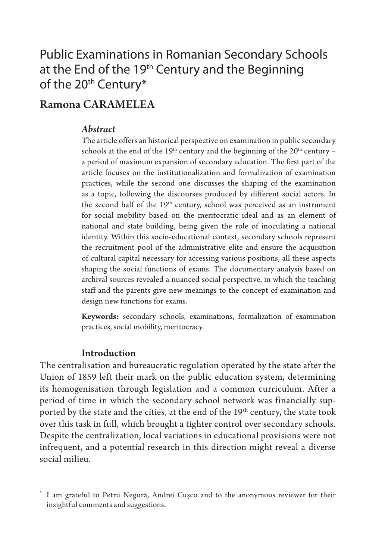## Public Examinations in Romanian Secondary Schools at the End of the  $19<sup>th</sup>$  Century and the Beginning of the 20<sup>th</sup> Century\*

## Ramona CARAMELEA

### *Abstract*

The article offers an historical perspective on examination in public secondary schools at the end of the  $19<sup>th</sup>$  century and the beginning of the  $20<sup>th</sup>$  century – a period of maximum expansion of secondary education. The first part of the article focuses on the institutionalization and formalization of examination practices, while the second one discusses the shaping of the examination as a topic, following the discourses produced by different social actors. In the second half of the  $19<sup>th</sup>$  century, school was perceived as an instrument for social mobility based on the meritocratic ideal and as an element of national and state building, being given the role of inoculating a national identity. Within this socio-educational context, secondary schools represent the recruitment pool of the administrative elite and ensure the acquisition of cultural capital necessary for accessing various positions, all these aspects shaping the social functions of exams. The documentary analysis based on archival sources revealed a nuanced social perspective, in which the teaching staff and the parents give new meanings to the concept of examination and design new functions for exams.

**Keywords:** secondary schools, examinations, formalization of examination practices, social mobility, meritocracy.

## Introduction

The centralisation and bureaucratic regulation operated by the state after the Union of 1859 left their mark on the public education system, determining its homogenisation through legislation and a common curriculum. After a period of time in which the secondary school network was financially supported by the state and the cities, at the end of the 19<sup>th</sup> century, the state took over this task in full, which brought a tighter control over secondary schools. Despite the centralization, local variations in educational provisions were not infrequent, and a potential research in this direction might reveal a diverse social milieu.

<sup>\*</sup> I am grateful to Petru Negură, Andrei Cușco and to the anonymous reviewer for their insightful comments and suggestions.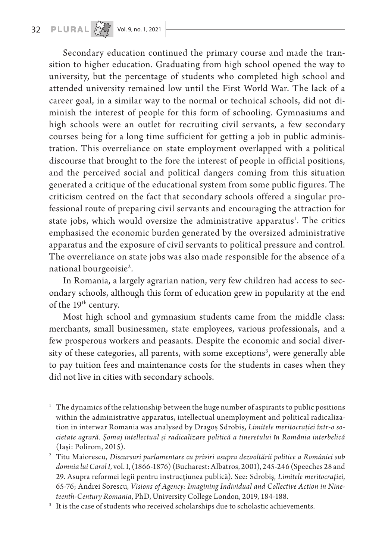## **32 PLURAL**  $\begin{bmatrix} 2 & 3 \\ 4 & 5 \end{bmatrix}$  Vol. 9, no. 1, 2021

Secondary education continued the primary course and made the transition to higher education. Graduating from high school opened the way to university, but the percentage of students who completed high school and attended university remained low until the First World War. The lack of a career goal, in a similar way to the normal or technical schools, did not diminish the interest of people for this form of schooling. Gymnasiums and high schools were an outlet for recruiting civil servants, a few secondary courses being for a long time sufficient for getting a job in public administration. This overreliance on state employment overlapped with a political discourse that brought to the fore the interest of people in official positions, and the perceived social and political dangers coming from this situation generated a critique of the educational system from some public figures. The criticism centred on the fact that secondary schools offered a singular professional route of preparing civil servants and encouraging the attraction for state jobs, which would oversize the administrative apparatus<sup>1</sup>. The critics emphasised the economic burden generated by the oversized administrative apparatus and the exposure of civil servants to political pressure and control. The overreliance on state jobs was also made responsible for the absence of a national bourgeoisie<sup>2</sup>.

In Romania, a largely agrarian nation, very few children had access to secondary schools, although this form of education grew in popularity at the end of the 19th century.

Most high school and gymnasium students came from the middle class: merchants, small businessmen, state employees, various professionals, and a few prosperous workers and peasants. Despite the economic and social diversity of these categories, all parents, with some exceptions<sup>3</sup>, were generally able to pay tuition fees and maintenance costs for the students in cases when they did not live in cities with secondary schools.

<sup>1</sup> The dynamics of the relationship between the huge number of aspirants to public positions within the administrative apparatus, intellectual unemployment and political radicalization in interwar Romania was analysed by Dragoș Sdrobiș, *Limitele meritocrației într-o societate agrară. Șomaj intellectual și radicalizare politică a tineretului în România interbelică* (Iași: Polirom, 2015).

<sup>2</sup> Titu Maiorescu, *Discursuri parlamentare cu priviri asupra dezvoltării politice a României sub domnia lui Carol I,* vol. I, (1866-1876) (Bucharest: Albatros, 2001), 245-246 (Speeches 28 and 29. Asupra reformei legii pentru instrucțiunea publică). See: Sdrobiș, *Limitele meritocrației*, 65-76; Andrei Sorescu, *Visions of Agency: Imagining Individual and Collective Action in Nineteenth-Century Romania*, PhD, University College London, 2019, 184-188.<br><sup>3</sup> It is the case of students who received scholarships due to scholastic achievements.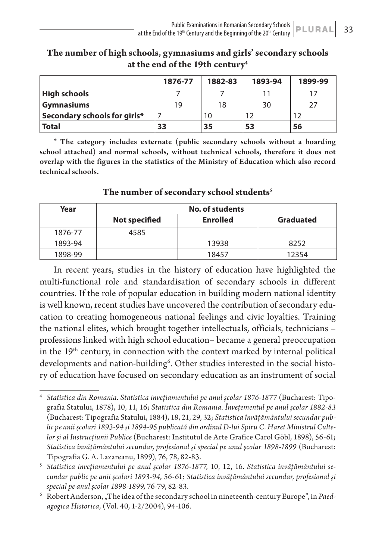|                              | 1876-77 | 1882-83 | 1893-94 | 1899-99 |
|------------------------------|---------|---------|---------|---------|
| <b>High schools</b>          |         |         |         |         |
| <b>Gymnasiums</b>            | 19      | 18      | 30      |         |
| Secondary schools for girls* |         |         |         |         |
| <b>Total</b>                 | 33      | 35      | 53      | 56      |

**The number of high schools, gymnasiums and girls' secondary schools at the end of the 19th century4**

\* The category includes externate (public secondary schools without a boarding school attached) and normal schools, without technical schools, therefore it does not overlap with the figures in the statistics of the Ministry of Education which also record technical schools.

| Year    | No. of students      |                 |                  |  |  |
|---------|----------------------|-----------------|------------------|--|--|
|         | <b>Not specified</b> | <b>Enrolled</b> | <b>Graduated</b> |  |  |
| 1876-77 | 4585                 |                 |                  |  |  |
| 1893-94 |                      | 13938           | 8252             |  |  |
| 1898-99 |                      | 18457           | 12354            |  |  |

#### **The number of secondary school students5**

In recent years, studies in the history of education have highlighted the multi-functional role and standardisation of secondary schools in different countries. If the role of popular education in building modern national identity is well known, recent studies have uncovered the contribution of secondary education to creating homogeneous national feelings and civic loyalties. Training the national elites, which brought together intellectuals, officials, technicians – professions linked with high school education– became a general preoccupation in the 19<sup>th</sup> century, in connection with the context marked by internal political developments and nation-building<sup>6</sup>. Other studies interested in the social history of education have focused on secondary education as an instrument of social

<sup>4</sup> *Statistica din Romania. Statistica invețiamentului pe anul școlar 1876-1877* (Bucharest: Tipografia Statului, 1878), 10, 11, 16; *Statistica din Romania. Învețementul pe anul școlar 1882-83* (Bucharest: Tipografia Statului, 1884), 18, 21, 29, 32; *Statistica învățământului secundar public pe anii școlari 1893-94 și 1894-95 publicată din ordinul D-lui Spiru C. Haret Ministrul Cultelor și al Instrucțiunii Publice* (Bucharest: Institutul de Arte Grafice Carol Göbl, 1898), 56-61; *Statistica învăţământului secundar, profesional şi special pe anul şcolar 1898-1899* (Bucharest: Tipografia G. A. Lazareanu, 1899), 76, 78, 82-83.

<sup>5</sup> *Statistica invețiamentului pe anul școlar 1876-1877,* 10, 12, 16. *Statistica învățământului secundar public pe anii școlari 1893-94,* 56-61*; Statistica învăţământului secundar, profesional şi special pe anul şcolar 1898-1899,* 76-79, 82-83.

 $6$  Robert Anderson, "The idea of the secondary school in nineteenth-century Europe", in Paed*agogica Historica*, (Vol. 40, 1-2/2004), 94-106.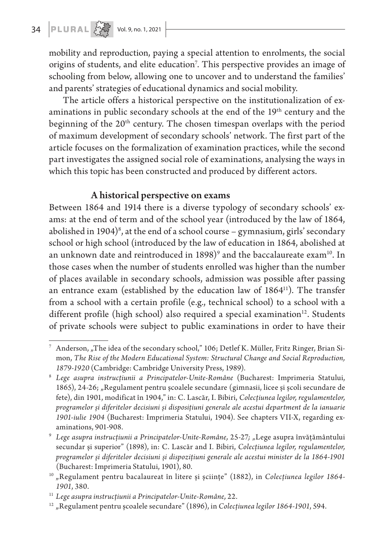mobility and reproduction, paying a special attention to enrolments, the social origins of students, and elite education<sup>7</sup>. This perspective provides an image of schooling from below, allowing one to uncover and to understand the families' and parents' strategies of educational dynamics and social mobility.

The article offers a historical perspective on the institutionalization of examinations in public secondary schools at the end of the 19<sup>th</sup> century and the beginning of the 20<sup>th</sup> century. The chosen timespan overlaps with the period of maximum development of secondary schools' network. The first part of the article focuses on the formalization of examination practices, while the second part investigates the assigned social role of examinations, analysing the ways in which this topic has been constructed and produced by different actors.

## A historical perspective on exams

Between 1864 and 1914 there is a diverse typology of secondary schools' exams: at the end of term and of the school year (introduced by the law of 1864, abolished in 1904) $^{\circ}$ , at the end of a school course – gymnasium, girls' secondary school or high school (introduced by the law of education in 1864, abolished at an unknown date and reintroduced in  $1898)^\circ$  and the baccalaureate exam $^{10}$ . In those cases when the number of students enrolled was higher than the number of places available in secondary schools, admission was possible after passing an entrance exam (established by the education law of 1864<sup>11</sup>). The transfer from a school with a certain profile (e.g., technical school) to a school with a different profile (high school) also required a special examination<sup>12</sup>. Students of private schools were subject to public examinations in order to have their

 $7$  Anderson, "The idea of the secondary school," 106; Detlef K. Müller, Fritz Ringer, Brian Simon, *The Rise of the Modern Educational System: Structural Change and Social Reproduction,* 

*<sup>1879-1920</sup>* (Cambridge: Cambridge University Press, 1989). 8 *Lege asupra instrucțiunii a Principatelor-Unite-Române* (Bucharest: Imprimeria Statului, 1865), 24-26; "Regulament pentru școalele secundare (gimnasii, licee și școli secundare de fete), din 1901, modificat în 1904," in: C. Lascăr, I. Bibiri, *Colecțiunea legilor, regulamentelor, programelor și diferitelor decisiuni și disposițiuni generale ale acestui department de la ianuarie 1901-iulie 1904* (Bucharest: Imprimeria Statului, 1904). See chapters VII-X, regarding examinations, 901-908.

<sup>9</sup> *Lege asupra instrucțiunii a Principatelor-Unite-Române,* 25-27*; "*Lege asupra învățământului secundar și superior" (1898), in: C. Lascăr and I. Bibiri, *Colecțiunea legilor, regulamentelor, programelor și diferitelor decisiuni și dispozițiuni generale ale acestui minister de la 1864-1901* (Bucharest: Imprimeria Statului, 1901), 80.

<sup>&</sup>lt;sup>10</sup> "Regulament pentru bacalaureat în litere și șciințe" (1882), in Colecțiunea legilor 1864-*1901*, 380.

<sup>11</sup> *Lege asupra instrucțiunii a Principatelor-Unite-Române,* 22.

<sup>&</sup>lt;sup>12</sup> "Regulament pentru școalele secundare" (1896), in Colecțiunea legilor 1864-1901, 594.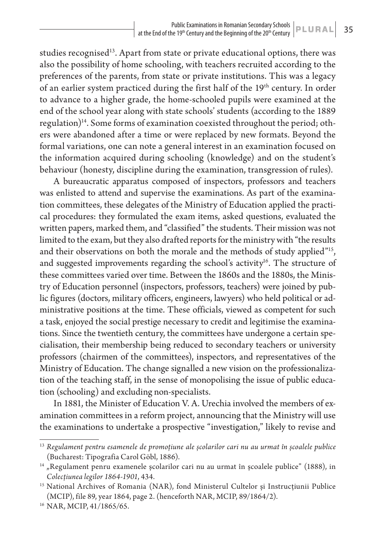studies recognised<sup>13</sup>. Apart from state or private educational options, there was also the possibility of home schooling, with teachers recruited according to the preferences of the parents, from state or private institutions. This was a legacy of an earlier system practiced during the first half of the 19<sup>th</sup> century. In order to advance to a higher grade, the home-schooled pupils were examined at the end of the school year along with state schools' students (according to the 1889 regulation)<sup>14</sup>. Some forms of examination coexisted throughout the period; others were abandoned after a time or were replaced by new formats. Beyond the formal variations, one can note a general interest in an examination focused on the information acquired during schooling (knowledge) and on the student's behaviour (honesty, discipline during the examination, transgression of rules).

A bureaucratic apparatus composed of inspectors, professors and teachers was enlisted to attend and supervise the examinations. As part of the examination committees, these delegates of the Ministry of Education applied the practical procedures: they formulated the exam items, asked questions, evaluated the written papers, marked them, and "classified" the students. Their mission was not limited to the exam, but they also drafted reports for the ministry with "the results and their observations on both the morale and the methods of study applied"<sup>15</sup>, and suggested improvements regarding the school's activity<sup>16</sup>. The structure of these committees varied over time. Between the 1860s and the 1880s, the Ministry of Education personnel (inspectors, professors, teachers) were joined by public figures (doctors, military officers, engineers, lawyers) who held political or administrative positions at the time. These officials, viewed as competent for such a task, enjoyed the social prestige necessary to credit and legitimise the examinations. Since the twentieth century, the committees have undergone a certain specialisation, their membership being reduced to secondary teachers or university professors (chairmen of the committees), inspectors, and representatives of the Ministry of Education. The change signalled a new vision on the professionalization of the teaching staff, in the sense of monopolising the issue of public education (schooling) and excluding non-specialists.

In 1881, the Minister of Education V. A. Urechia involved the members of examination committees in a reform project, announcing that the Ministry will use the examinations to undertake a prospective "investigation," likely to revise and

<sup>13</sup> *Regulament pentru esamenele de promoțiune ale școlarilor cari nu au urmat în școalele publice* (Bucharest: Tipografia Carol Göbl, 1886).

 $14$  "Regulament penru examenele școlarilor cari nu au urmat în școalele publice" (1888), in *Colecțiunea legilor 1864-1901*, 434.

<sup>&</sup>lt;sup>15</sup> National Archives of Romania (NAR), fond Ministerul Cultelor și Instrucțiunii Publice (MCIP), file 89, year 1864, page 2. (henceforth NAR, MCIP, 89/1864/2).

<sup>16</sup> NAR, MCIP, 41/1865/65.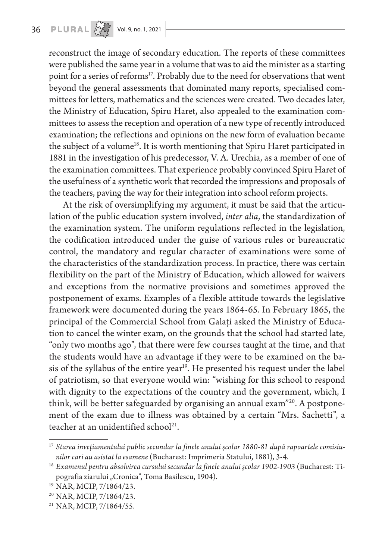reconstruct the image of secondary education. The reports of these committees were published the same year in a volume that was to aid the minister as a starting point for a series of reforms<sup>17</sup>. Probably due to the need for observations that went beyond the general assessments that dominated many reports, specialised committees for letters, mathematics and the sciences were created. Two decades later, the Ministry of Education, Spiru Haret, also appealed to the examination committees to assess the reception and operation of a new type of recently introduced examination; the reflections and opinions on the new form of evaluation became the subject of a volume<sup>18</sup>. It is worth mentioning that Spiru Haret participated in 1881 in the investigation of his predecessor, V. A. Urechia, as a member of one of the examination committees. That experience probably convinced Spiru Haret of the usefulness of a synthetic work that recorded the impressions and proposals of the teachers, paving the way for their integration into school reform projects.

At the risk of oversimplifying my argument, it must be said that the articulation of the public education system involved, *inter alia*, the standardization of the examination system. The uniform regulations reflected in the legislation, the codification introduced under the guise of various rules or bureaucratic control, the mandatory and regular character of examinations were some of the characteristics of the standardization process. In practice, there was certain flexibility on the part of the Ministry of Education, which allowed for waivers and exceptions from the normative provisions and sometimes approved the postponement of exams. Examples of a flexible attitude towards the legislative framework were documented during the years 1864-65. In February 1865, the principal of the Commercial School from Galați asked the Ministry of Education to cancel the winter exam, on the grounds that the school had started late, "only two months ago", that there were few courses taught at the time, and that the students would have an advantage if they were to be examined on the basis of the syllabus of the entire year<sup>19</sup>. He presented his request under the label of patriotism, so that everyone would win: "wishing for this school to respond with dignity to the expectations of the country and the government, which, I think, will be better safeguarded by organising an annual exam"<sup>20</sup>. A postponement of the exam due to illness was obtained by a certain "Mrs. Sachetti", a teacher at an unidentified school<sup>21</sup>.

<sup>17</sup> *Starea invețiamentului public secundar la finele anului școlar 1880-81 după rapoartele comisiunilor cari au asistat la esamene* (Bucharest: Imprimeria Statului, 1881), 3-4.

<sup>18</sup> *Examenul pentru absolvirea cursului secundar la finele anului școlar 1902-1903* (Bucharest: Tipografia ziarului "Cronica", Toma Basilescu, 1904).

<sup>19</sup> NAR, MCIP, 7/1864/23.

<sup>20</sup> NAR, MCIP, 7/1864/23.

<sup>21</sup> NAR, MCIP, 7/1864/55.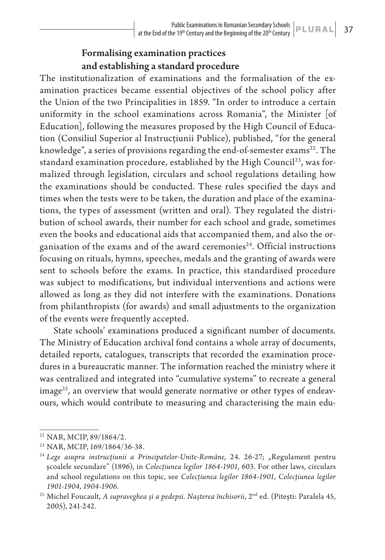## Formalising examination practices and establishing a standard procedure

The institutionalization of examinations and the formalisation of the examination practices became essential objectives of the school policy after the Union of the two Principalities in 1859. "In order to introduce a certain uniformity in the school examinations across Romania", the Minister [of Education], following the measures proposed by the High Council of Education (Consiliul Superior al Instrucțiunii Publice), published, "for the general knowledge", a series of provisions regarding the end-of-semester  $exams<sup>22</sup>$ . The standard examination procedure, established by the High Council<sup>23</sup>, was formalized through legislation, circulars and school regulations detailing how the examinations should be conducted. These rules specified the days and times when the tests were to be taken, the duration and place of the examinations, the types of assessment (written and oral). They regulated the distribution of school awards, their number for each school and grade, sometimes even the books and educational aids that accompanied them, and also the organisation of the exams and of the award ceremonies<sup>24</sup>. Official instructions focusing on rituals, hymns, speeches, medals and the granting of awards were sent to schools before the exams. In practice, this standardised procedure was subject to modifications, but individual interventions and actions were allowed as long as they did not interfere with the examinations. Donations from philanthropists (for awards) and small adjustments to the organization of the events were frequently accepted.

State schools' examinations produced a significant number of documents. The Ministry of Education archival fond contains a whole array of documents, detailed reports, catalogues, transcripts that recorded the examination procedures in a bureaucratic manner. The information reached the ministry where it was centralized and integrated into "cumulative systems" to recreate a general  $\langle$ image<sup>25</sup>, an overview that would generate normative or other types of endeavours, which would contribute to measuring and characterising the main edu-

<sup>22</sup> NAR, MCIP, 89/1864/2.

<sup>23</sup> NAR, MCIP, 169/1864/36-38.

<sup>&</sup>lt;sup>24</sup> Lege asupra instrucțiunii a Principatelor-Unite-Române, 24. 26-27; "Regulament pentru școalele secundare" (1896), in *Colecțiunea legilor 1864-1901*, 603. For other laws, circulars and school regulations on this topic, see *Colecțiunea legilor 1864-1901*, *Colecțiunea legilor 1901-1904, 1904-1906.*

<sup>&</sup>lt;sup>25</sup> Michel Foucault, *A supraveghea și a pedepsi. Nașterea închisorii*, 2<sup>nd</sup> ed. (Pitești: Paralela 45, 2005), 241-242.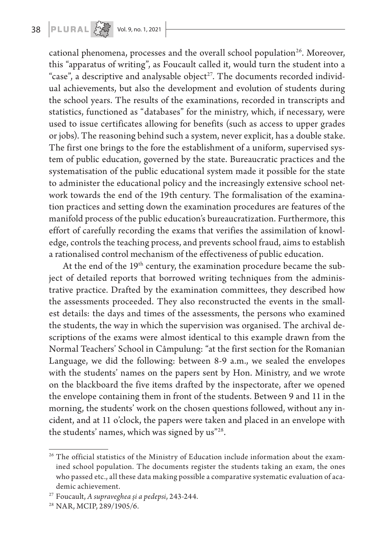cational phenomena, processes and the overall school population<sup>26</sup>. Moreover, this "apparatus of writing", as Foucault called it, would turn the student into a "case", a descriptive and analysable object<sup>27</sup>. The documents recorded individual achievements, but also the development and evolution of students during the school years. The results of the examinations, recorded in transcripts and statistics, functioned as "databases" for the ministry, which, if necessary, were used to issue certificates allowing for benefits (such as access to upper grades or jobs). The reasoning behind such a system, never explicit, has a double stake. The first one brings to the fore the establishment of a uniform, supervised system of public education, governed by the state. Bureaucratic practices and the systematisation of the public educational system made it possible for the state to administer the educational policy and the increasingly extensive school network towards the end of the 19th century. The formalisation of the examination practices and setting down the examination procedures are features of the manifold process of the public education's bureaucratization. Furthermore, this effort of carefully recording the exams that verifies the assimilation of knowledge, controls the teaching process, and prevents school fraud, aims to establish a rationalised control mechanism of the effectiveness of public education.

At the end of the 19<sup>th</sup> century, the examination procedure became the subject of detailed reports that borrowed writing techniques from the administrative practice. Drafted by the examination committees, they described how the assessments proceeded. They also reconstructed the events in the smallest details: the days and times of the assessments, the persons who examined the students, the way in which the supervision was organised. The archival descriptions of the exams were almost identical to this example drawn from the Normal Teachers' School in Câmpulung: "at the first section for the Romanian Language, we did the following: between 8-9 a.m., we sealed the envelopes with the students' names on the papers sent by Hon. Ministry, and we wrote on the blackboard the five items drafted by the inspectorate, after we opened the envelope containing them in front of the students. Between 9 and 11 in the morning, the students' work on the chosen questions followed, without any incident, and at 11 o'clock, the papers were taken and placed in an envelope with the students' names, which was signed by us"28.

<sup>&</sup>lt;sup>26</sup> The official statistics of the Ministry of Education include information about the examined school population. The documents register the students taking an exam, the ones who passed etc., all these data making possible a comparative systematic evaluation of academic achievement.

<sup>27</sup> Foucault, *A supraveghea și a pedepsi*, 243-244. 28 NAR, MCIP, 289/1905/6.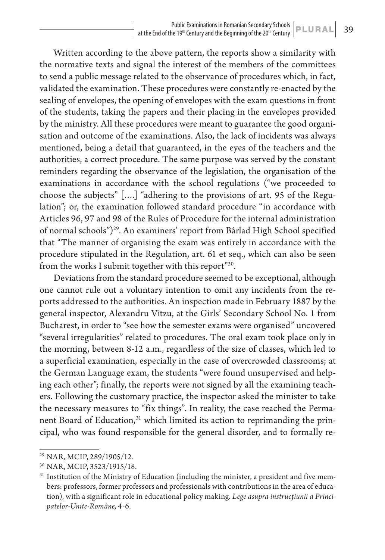Written according to the above pattern, the reports show a similarity with the normative texts and signal the interest of the members of the committees to send a public message related to the observance of procedures which, in fact, validated the examination. These procedures were constantly re-enacted by the sealing of envelopes, the opening of envelopes with the exam questions in front of the students, taking the papers and their placing in the envelopes provided by the ministry. All these procedures were meant to guarantee the good organisation and outcome of the examinations. Also, the lack of incidents was always mentioned, being a detail that guaranteed, in the eyes of the teachers and the authorities, a correct procedure. The same purpose was served by the constant reminders regarding the observance of the legislation, the organisation of the examinations in accordance with the school regulations ("we proceeded to choose the subjects" [….] "adhering to the provisions of art. 95 of the Regulation"; or, the examination followed standard procedure "in accordance with Articles 96, 97 and 98 of the Rules of Procedure for the internal administration of normal schools")29. An examiners' report from Bârlad High School specified that "The manner of organising the exam was entirely in accordance with the procedure stipulated in the Regulation, art. 61 et seq., which can also be seen from the works I submit together with this report"30.

Deviations from the standard procedure seemed to be exceptional, although one cannot rule out a voluntary intention to omit any incidents from the reports addressed to the authorities. An inspection made in February 1887 by the general inspector, Alexandru Vitzu, at the Girls' Secondary School No. 1 from Bucharest, in order to "see how the semester exams were organised" uncovered "several irregularities" related to procedures. The oral exam took place only in the morning, between 8-12 a.m., regardless of the size of classes, which led to a superficial examination, especially in the case of overcrowded classrooms; at the German Language exam, the students "were found unsupervised and helping each other"; finally, the reports were not signed by all the examining teachers. Following the customary practice, the inspector asked the minister to take the necessary measures to "fix things". In reality, the case reached the Permanent Board of Education,<sup>31</sup> which limited its action to reprimanding the principal, who was found responsible for the general disorder, and to formally re-

<sup>29</sup> NAR, MCIP, 289/1905/12.

<sup>30</sup> NAR, MCIP, 3523/1915/18.

 $31$  Institution of the Ministry of Education (including the minister, a president and five members: professors, former professors and professionals with contributions in the area of education), with a significant role in educational policy making. *Lege asupra instrucțiunii a Principatelor-Unite-Române,* 4-6.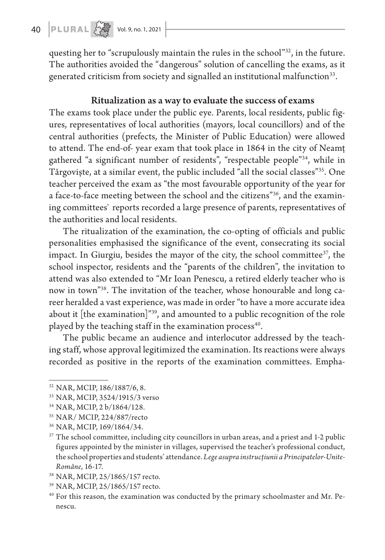questing her to "scrupulously maintain the rules in the school"32, in the future. The authorities avoided the "dangerous" solution of cancelling the exams, as it generated criticism from society and signalled an institutional malfunction<sup>33</sup>.

### Ritualization as a way to evaluate the success of exams

The exams took place under the public eye. Parents, local residents, public figures, representatives of local authorities (mayors, local councillors) and of the central authorities (prefects, the Minister of Public Education) were allowed to attend. The end-of- year exam that took place in 1864 in the city of Neamț gathered "a significant number of residents", "respectable people"34, while in Târgoviște, at a similar event, the public included "all the social classes"35. One teacher perceived the exam as "the most favourable opportunity of the year for a face-to-face meeting between the school and the citizens"36, and the examining committees` reports recorded a large presence of parents, representatives of the authorities and local residents.

The ritualization of the examination, the co-opting of officials and public personalities emphasised the significance of the event, consecrating its social impact. In Giurgiu, besides the mayor of the city, the school committee $3^7$ , the school inspector, residents and the "parents of the children", the invitation to attend was also extended to "Mr Ioan Penescu, a retired elderly teacher who is now in town"38. The invitation of the teacher, whose honourable and long career heralded a vast experience, was made in order "to have a more accurate idea about it [the examination]"<sup>39</sup>, and amounted to a public recognition of the role played by the teaching staff in the examination process<sup>40</sup>.

The public became an audience and interlocutor addressed by the teaching staff, whose approval legitimized the examination. Its reactions were always recorded as positive in the reports of the examination committees. Empha-

<sup>32</sup> NAR, MCIP, 186/1887/6, 8.

<sup>33</sup> NAR, MCIP, 3524/1915/3 verso

<sup>34</sup> NAR, MCIP, 2 b/1864/128.

<sup>35</sup> NAR/ MCIP, 224/887/recto

<sup>36</sup> NAR, MCIP, 169/1864/34.

<sup>&</sup>lt;sup>37</sup> The school committee, including city councillors in urban areas, and a priest and 1-2 public figures appointed by the minister in villages, supervised the teacher's professional conduct, the school properties and students' attendance. *Lege asupra instrucțiunii a Principatelor-Unite-Române*, 16-17. 38 NAR, MCIP, 25/1865/157 recto.

<sup>39</sup> NAR, MCIP, 25/1865/157 recto.

 $40$  For this reason, the examination was conducted by the primary schoolmaster and Mr. Penescu.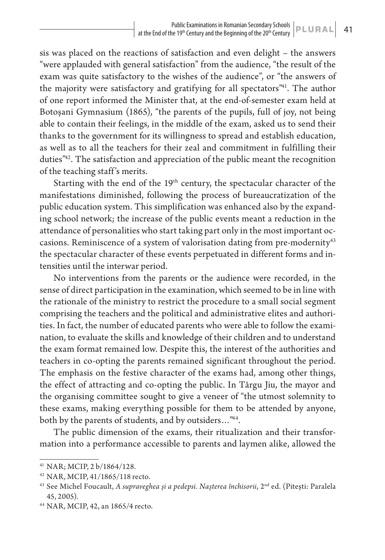sis was placed on the reactions of satisfaction and even delight – the answers "were applauded with general satisfaction" from the audience, "the result of the exam was quite satisfactory to the wishes of the audience", or "the answers of the majority were satisfactory and gratifying for all spectators<sup>"41</sup>. The author of one report informed the Minister that, at the end-of-semester exam held at Botoșani Gymnasium (1865), "the parents of the pupils, full of joy, not being able to contain their feelings, in the middle of the exam, asked us to send their thanks to the government for its willingness to spread and establish education, as well as to all the teachers for their zeal and commitment in fulfilling their duties"42. The satisfaction and appreciation of the public meant the recognition of the teaching staff 's merits.

Starting with the end of the 19<sup>th</sup> century, the spectacular character of the manifestations diminished, following the process of bureaucratization of the public education system. This simplification was enhanced also by the expanding school network; the increase of the public events meant a reduction in the attendance of personalities who start taking part only in the most important occasions. Reminiscence of a system of valorisation dating from pre-modernity<sup>43</sup> the spectacular character of these events perpetuated in different forms and intensities until the interwar period.

No interventions from the parents or the audience were recorded, in the sense of direct participation in the examination, which seemed to be in line with the rationale of the ministry to restrict the procedure to a small social segment comprising the teachers and the political and administrative elites and authorities. In fact, the number of educated parents who were able to follow the examination, to evaluate the skills and knowledge of their children and to understand the exam format remained low. Despite this, the interest of the authorities and teachers in co-opting the parents remained significant throughout the period. The emphasis on the festive character of the exams had, among other things, the effect of attracting and co-opting the public. In Târgu Jiu, the mayor and the organising committee sought to give a veneer of "the utmost solemnity to these exams, making everything possible for them to be attended by anyone, both by the parents of students, and by outsiders…"44.

The public dimension of the exams, their ritualization and their transformation into a performance accessible to parents and laymen alike, allowed the

<sup>41</sup> NAR; MCIP, 2 b/1864/128.

<sup>42</sup> NAR, MCIP, 41/1865/118 recto.

<sup>&</sup>lt;sup>43</sup> See Michel Foucault, *A supraveghea și a pedepsi. Nașterea închisorii*, 2<sup>nd</sup> ed. (Pitești: Paralela 45, 2005).

<sup>44</sup> NAR, MCIP, 42, an 1865/4 recto.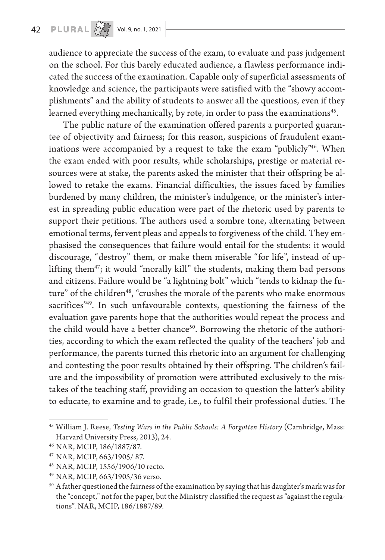audience to appreciate the success of the exam, to evaluate and pass judgement on the school. For this barely educated audience, a flawless performance indicated the success of the examination. Capable only of superficial assessments of knowledge and science, the participants were satisfied with the "showy accomplishments" and the ability of students to answer all the questions, even if they learned everything mechanically, by rote, in order to pass the examinations<sup>45</sup>.

The public nature of the examination offered parents a purported guarantee of objectivity and fairness; for this reason, suspicions of fraudulent examinations were accompanied by a request to take the exam "publicly"<sup>46</sup>. When the exam ended with poor results, while scholarships, prestige or material resources were at stake, the parents asked the minister that their offspring be allowed to retake the exams. Financial difficulties, the issues faced by families burdened by many children, the minister's indulgence, or the minister's interest in spreading public education were part of the rhetoric used by parents to support their petitions. The authors used a sombre tone, alternating between emotional terms, fervent pleas and appeals to forgiveness of the child. They emphasised the consequences that failure would entail for the students: it would discourage, "destroy" them, or make them miserable "for life", instead of uplifting them<sup>47</sup>; it would "morally kill" the students, making them bad persons and citizens. Failure would be "a lightning bolt" which "tends to kidnap the future" of the children<sup>48</sup>, "crushes the morale of the parents who make enormous sacrifices<sup>"49</sup>. In such unfavourable contexts, questioning the fairness of the evaluation gave parents hope that the authorities would repeat the process and the child would have a better chance<sup>50</sup>. Borrowing the rhetoric of the authorities, according to which the exam reflected the quality of the teachers' job and performance, the parents turned this rhetoric into an argument for challenging and contesting the poor results obtained by their offspring. The children's failure and the impossibility of promotion were attributed exclusively to the mistakes of the teaching staff, providing an occasion to question the latter's ability to educate, to examine and to grade, i.e., to fulfil their professional duties. The

<sup>&</sup>lt;sup>45</sup> William J. Reese, Testing Wars in the Public Schools: A Forgotten History (Cambridge, Mass: Harvard University Press, 2013), 24.

<sup>46</sup> NAR, MCIP, 186/1887/87.

<sup>47</sup> NAR, MCIP, 663/1905/ 87.

<sup>48</sup> NAR, MCIP, 1556/1906/10 recto.

<sup>49</sup> NAR, MCIP, 663/1905/36 verso.

<sup>&</sup>lt;sup>50</sup> A father questioned the fairness of the examination by saying that his daughter's mark was for the "concept," not for the paper, but the Ministry classified the request as "against the regulations". NAR, MCIP, 186/1887/89.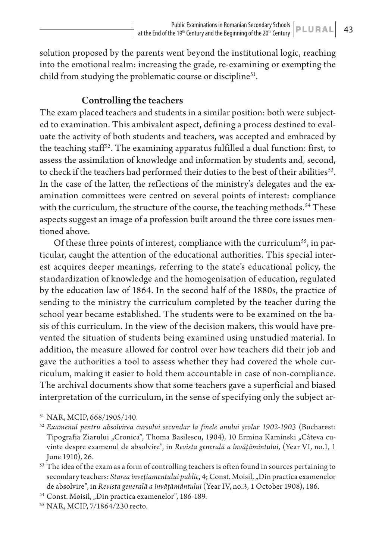solution proposed by the parents went beyond the institutional logic, reaching into the emotional realm: increasing the grade, re-examining or exempting the child from studying the problematic course or discipline<sup>51</sup>.

## Controlling the teachers

The exam placed teachers and students in a similar position: both were subjected to examination. This ambivalent aspect, defining a process destined to evaluate the activity of both students and teachers, was accepted and embraced by the teaching staff<sup>52</sup>. The examining apparatus fulfilled a dual function: first, to assess the assimilation of knowledge and information by students and, second, to check if the teachers had performed their duties to the best of their abilities<sup>53</sup>. In the case of the latter, the reflections of the ministry's delegates and the examination committees were centred on several points of interest: compliance with the curriculum, the structure of the course, the teaching methods.<sup>54</sup> These aspects suggest an image of a profession built around the three core issues mentioned above.

Of these three points of interest, compliance with the curriculum<sup>55</sup>, in particular, caught the attention of the educational authorities. This special interest acquires deeper meanings, referring to the state's educational policy, the standardization of knowledge and the homogenisation of education, regulated by the education law of 1864. In the second half of the 1880s, the practice of sending to the ministry the curriculum completed by the teacher during the school year became established. The students were to be examined on the basis of this curriculum. In the view of the decision makers, this would have prevented the situation of students being examined using unstudied material. In addition, the measure allowed for control over how teachers did their job and gave the authorities a tool to assess whether they had covered the whole curriculum, making it easier to hold them accountable in case of non-compliance. The archival documents show that some teachers gave a superficial and biased interpretation of the curriculum, in the sense of specifying only the subject ar-

<sup>51</sup> NAR, MCIP, 668/1905/140.

<sup>52</sup> *Examenul pentru absolvirea cursului secundar la finele anului școlar 1902-1903* (Bucharest: Tipografia Ziarului "Cronica", Thoma Basilescu, 1904), 10 Ermina Kaminski "Câteva cuvinte despre examenul de absolvire", in *Revista generală a învățămîntului*, (Year VI, no.1, 1 June 1910), 26.

 $\overline{{}^{53}}$  The idea of the exam as a form of controlling teachers is often found in sources pertaining to secondary teachers: *Starea invețiamentului public*, 4; Const. Moisil, "Din practica examenelor de absolvire", in *Revista generală a învățământului* (Year IV, no.3, 1 October 1908), 186.

<sup>&</sup>lt;sup>54</sup> Const. Moisil, "Din practica examenelor", 186-189.

<sup>55</sup> NAR, MCIP, 7/1864/230 recto.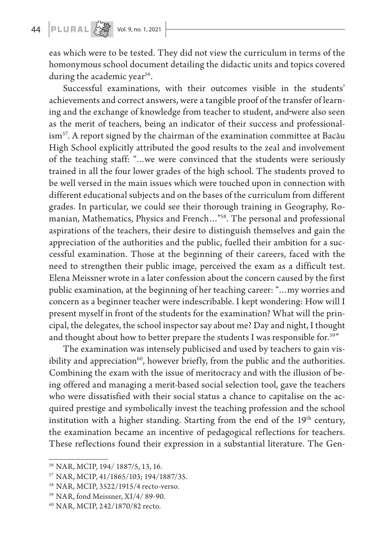# 44 **PLURAL**  $\begin{array}{c} 22 \overline{32} \\ 24 \overline{)24} \end{array}$  Vol. 9, no. 1, 2021

eas which were to be tested. They did not view the curriculum in terms of the homonymous school document detailing the didactic units and topics covered during the academic year<sup>56</sup>.

Successful examinations, with their outcomes visible in the students' achievements and correct answers, were a tangible proof of the transfer of learning and the exchange of knowledge from teacher to student, and were also seen as the merit of teachers, being an indicator of their success and professional- $\sin^{57}$ . A report signed by the chairman of the examination committee at Bacău High School explicitly attributed the good results to the zeal and involvement of the teaching staff: "…we were convinced that the students were seriously trained in all the four lower grades of the high school. The students proved to be well versed in the main issues which were touched upon in connection with different educational subjects and on the bases of the curriculum from different grades. In particular, we could see their thorough training in Geography, Romanian, Mathematics, Physics and French…"58. The personal and professional aspirations of the teachers, their desire to distinguish themselves and gain the appreciation of the authorities and the public, fuelled their ambition for a successful examination. Those at the beginning of their careers, faced with the need to strengthen their public image, perceived the exam as a difficult test. Elena Meissner wrote in a later confession about the concern caused by the first public examination, at the beginning of her teaching career: "…my worries and concern as a beginner teacher were indescribable. I kept wondering: How will I present myself in front of the students for the examination? What will the principal, the delegates, the school inspector say about me? Day and night, I thought and thought about how to better prepare the students I was responsible for.<sup>59"</sup>

The examination was intensely publicised and used by teachers to gain visibility and appreciation $60$ , however briefly, from the public and the authorities. Combining the exam with the issue of meritocracy and with the illusion of being offered and managing a merit-based social selection tool, gave the teachers who were dissatisfied with their social status a chance to capitalise on the acquired prestige and symbolically invest the teaching profession and the school institution with a higher standing. Starting from the end of the 19<sup>th</sup> century, the examination became an incentive of pedagogical reflections for teachers. These reflections found their expression in a substantial literature. The Gen-

<sup>56</sup> NAR, MCIP, 194/ 1887/5, 13, 16.

<sup>57</sup> NAR, MCIP, 41/1865/103; 194/1887/35.

<sup>58</sup> NAR, MCIP, 3522/1915/4 recto-verso.

<sup>59</sup> NAR, fond Meissner, XI/4/ 89-90.

<sup>60</sup> NAR, MCIP, 242/1870/82 recto.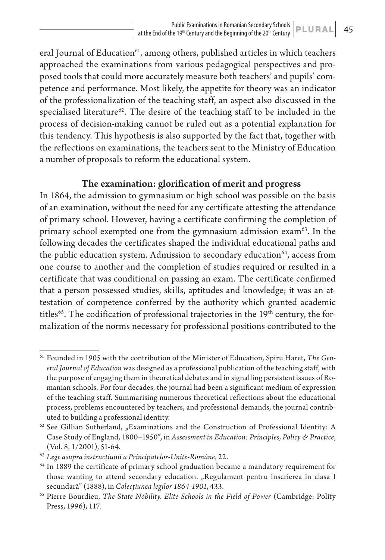eral Journal of Education<sup>61</sup>, among others, published articles in which teachers approached the examinations from various pedagogical perspectives and proposed tools that could more accurately measure both teachers' and pupils' competence and performance. Most likely, the appetite for theory was an indicator of the professionalization of the teaching staff, an aspect also discussed in the specialised literature<sup>62</sup>. The desire of the teaching staff to be included in the process of decision-making cannot be ruled out as a potential explanation for this tendency. This hypothesis is also supported by the fact that, together with the reflections on examinations, the teachers sent to the Ministry of Education a number of proposals to reform the educational system.

## The examination: glorification of merit and progress

In 1864, the admission to gymnasium or high school was possible on the basis of an examination, without the need for any certificate attesting the attendance of primary school. However, having a certificate confirming the completion of primary school exempted one from the gymnasium admission exam<sup>63</sup>. In the following decades the certificates shaped the individual educational paths and the public education system. Admission to secondary education<sup>64</sup>, access from one course to another and the completion of studies required or resulted in a certificate that was conditional on passing an exam. The certificate confirmed that a person possessed studies, skills, aptitudes and knowledge; it was an attestation of competence conferred by the authority which granted academic titles<sup>65</sup>. The codification of professional trajectories in the  $19<sup>th</sup>$  century, the formalization of the norms necessary for professional positions contributed to the

<sup>61</sup> Founded in 1905 with the contribution of the Minister of Education, Spiru Haret, *The General Journal of Education* was designed as a professional publication of the teaching staff, with the purpose of engaging them in theoretical debates and in signalling persistent issues of Romanian schools. For four decades, the journal had been a significant medium of expression of the teaching staff. Summarising numerous theoretical reflections about the educational process, problems encountered by teachers, and professional demands, the journal contributed to building a professional identity.

 $62$  See Gillian Sutherland, "Examinations and the Construction of Professional Identity: A Case Study of England, 1800–1950", in *Assessment in Education: Principles, Policy & Practice*, (Vol. 8, 1/2001), 51-64.

<sup>63</sup> *Lege asupra instrucțiunii a Principatelor-Unite-Române*, 22.

<sup>64</sup> In 1889 the certificate of primary school graduation became a mandatory requirement for those wanting to attend secondary education. "Regulament pentru înscrierea în clasa I

secundară" (1888), in *Colecțiunea legilor 1864-1901*, 433. 65 Pierre Bourdieu, *The State Nobility. Elite Schools in the Field of Power* (Cambridge: Polity Press, 1996), 117.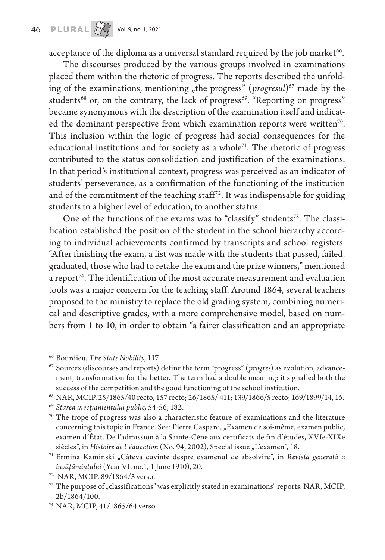acceptance of the diploma as a universal standard required by the job market<sup>66</sup>.

The discourses produced by the various groups involved in examinations placed them within the rhetoric of progress. The reports described the unfolding of the examinations, mentioning "the progress" (*progresul*)<sup>67</sup> made by the students<sup>68</sup> or, on the contrary, the lack of progress<sup>69</sup>. "Reporting on progress" became synonymous with the description of the examination itself and indicated the dominant perspective from which examination reports were written<sup>70</sup>. This inclusion within the logic of progress had social consequences for the educational institutions and for society as a whole<sup> $71$ </sup>. The rhetoric of progress contributed to the status consolidation and justification of the examinations. In that period's institutional context, progress was perceived as an indicator of students' perseverance, as a confirmation of the functioning of the institution and of the commitment of the teaching staff<sup>72</sup>. It was indispensable for guiding students to a higher level of education, to another status.

One of the functions of the exams was to "classify" students<sup>73</sup>. The classification established the position of the student in the school hierarchy according to individual achievements confirmed by transcripts and school registers. "After finishing the exam, a list was made with the students that passed, failed, graduated, those who had to retake the exam and the prize winners," mentioned a report<sup>74</sup>. The identification of the most accurate measurement and evaluation tools was a major concern for the teaching staff. Around 1864, several teachers proposed to the ministry to replace the old grading system, combining numerical and descriptive grades, with a more comprehensive model, based on numbers from 1 to 10, in order to obtain "a fairer classification and an appropriate

<sup>66</sup> Bourdieu, *The State Nobility*, 117.

<sup>67</sup> Sources (discourses and reports) define the term "progress" (*progres*) as evolution, advancement, transformation for the better. The term had a double meaning: it signalled both the success of the competition and the good functioning of the school institution.

<sup>68</sup> NAR, MCIP, 25/1865/40 recto, 157 recto; 26/1865/ 411; 139/1866/5 recto; 169/1899/14, 16.

<sup>69</sup> *Starea invețiamentului public,* 54-56, 182. 70 The trope of progress was also a characteristic feature of examinations and the literature concerning this topic in France. See: Pierre Caspard, "Examen de soi-même, examen public, examen d'État. De l'admission à la Sainte-Cène aux certificats de fin d'études, XVIe-XIXe siècles", in *Histoire de l'éducation* (No. 94, 2002), Special issue "L'examen", 18.<br><sup>71</sup> Ermina Kaminski "Câteva cuvinte despre examenul de absolvire", in *Revista generală a* 

*învățămîntului* (Year VI, no.1, 1 June 1910), 20.

<sup>72</sup> NAR, MCIP, 89/1864/3 verso.

 $^{73}$  The purpose of "classifications" was explicitly stated in examinations` reports. NAR, MCIP, 2b/1864/100.

<sup>74</sup> NAR, MCIP, 41/1865/64 verso.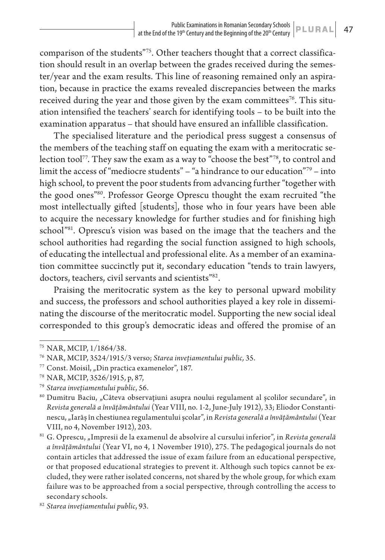comparison of the students"75. Other teachers thought that a correct classification should result in an overlap between the grades received during the semester/year and the exam results. This line of reasoning remained only an aspiration, because in practice the exams revealed discrepancies between the marks received during the year and those given by the exam committees<sup>76</sup>. This situation intensified the teachers' search for identifying tools – to be built into the examination apparatus – that should have ensured an infallible classification.

The specialised literature and the periodical press suggest a consensus of the members of the teaching staff on equating the exam with a meritocratic selection tool<sup>77</sup>. They saw the exam as a way to "choose the best"<sup>78</sup>, to control and limit the access of "mediocre students" – "a hindrance to our education"79 – into high school, to prevent the poor students from advancing further "together with the good ones"80. Professor George Oprescu thought the exam recruited "the most intellectually gifted [students], those who in four years have been able to acquire the necessary knowledge for further studies and for finishing high school<sup>"81</sup>. Oprescu's vision was based on the image that the teachers and the school authorities had regarding the social function assigned to high schools, of educating the intellectual and professional elite. As a member of an examination committee succinctly put it, secondary education "tends to train lawyers, doctors, teachers, civil servants and scientists"82.

Praising the meritocratic system as the key to personal upward mobility and success, the professors and school authorities played a key role in disseminating the discourse of the meritocratic model. Supporting the new social ideal corresponded to this group's democratic ideas and offered the promise of an

<sup>75</sup> NAR, MCIP, 1/1864/38.

<sup>76</sup> NAR, MCIP, 3524/1915/3 verso; *Starea invețiamentului public,* 35.

 $77$  Const. Moisil, "Din practica examenelor", 187.

<sup>78</sup> NAR, MCIP, 3526/1915, p, 87,

<sup>79</sup> *Starea invețiamentului public*, 56.

<sup>&</sup>lt;sup>80</sup> Dumitru Baciu, "Câteva observațiuni asupra noului regulament al școlilor secundare", in *Revista generală a învățământului* (Year VIII, no. 1-2, June-July 1912), 33; Eliodor Constantinescu, "Iarăș în chestiunea regulamentului școlar", in *Revista generală a învățământului* (Year VIII, no 4, November 1912), 203.

<sup>&</sup>lt;sup>81</sup> G. Oprescu, "Impresii de la examenul de absolvire al cursului inferior", in *Revista generală a învățământului* (Year VI, no 4, 1 November 1910), 275. The pedagogical journals do not contain articles that addressed the issue of exam failure from an educational perspective, or that proposed educational strategies to prevent it. Although such topics cannot be excluded, they were rather isolated concerns, not shared by the whole group, for which exam failure was to be approached from a social perspective, through controlling the access to secondary schools.

<sup>82</sup> *Starea invețiamentului public*, 93.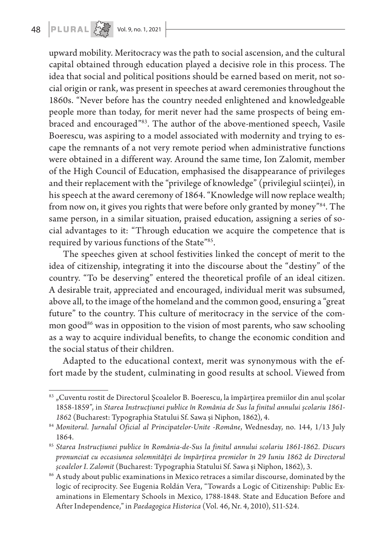upward mobility. Meritocracy was the path to social ascension, and the cultural capital obtained through education played a decisive role in this process. The idea that social and political positions should be earned based on merit, not social origin or rank, was present in speeches at award ceremonies throughout the 1860s. "Never before has the country needed enlightened and knowledgeable people more than today, for merit never had the same prospects of being embraced and encouraged"83. The author of the above-mentioned speech, Vasile Boerescu, was aspiring to a model associated with modernity and trying to escape the remnants of a not very remote period when administrative functions were obtained in a different way. Around the same time, Ion Zalomit, member of the High Council of Education, emphasised the disappearance of privileges and their replacement with the "privilege of knowledge" (privilegiul sciinței), in his speech at the award ceremony of 1864. "Knowledge will now replace wealth; from now on, it gives you rights that were before only granted by money"<sup>84</sup>. The same person, in a similar situation, praised education, assigning a series of social advantages to it: "Through education we acquire the competence that is required by various functions of the State"85.

The speeches given at school festivities linked the concept of merit to the idea of citizenship, integrating it into the discourse about the "destiny" of the country. "To be deserving" entered the theoretical profile of an ideal citizen. A desirable trait, appreciated and encouraged, individual merit was subsumed, above all, to the image of the homeland and the common good, ensuring a "great future" to the country. This culture of meritocracy in the service of the common good $86$  was in opposition to the vision of most parents, who saw schooling as a way to acquire individual benefits, to change the economic condition and the social status of their children.

Adapted to the educational context, merit was synonymous with the effort made by the student, culminating in good results at school. Viewed from

<sup>&</sup>lt;sup>83</sup> "Cuventu rostit de Directorul Școalelor B. Boerescu, la împărțirea premiilor din anul școlar 1858-1859", in *Starea Instrucțiunei publice în România de Sus la finitul annului școlariu 1861- 1862* (Bucharest: Typographia Statului Sf. Sawa și Niphon, 1862), 4.

<sup>84</sup> *Monitorul. Jurnalul Oficial al Principatelor-Unite -Române*, Wednesday, no. 144, 1/13 July 1864.

<sup>85</sup> *Starea Instrucțiunei publice în România-de-Sus la finitul annului scolariu 1861-1862. Discurs pronunciat cu occasiunea solemnităței de împărțirea premielor în 29 Iuniu 1862 de Directorul* 

*școalelor I. Zalomit* (Bucharest: Typographia Statului Sf. Sawa și Niphon, 1862), 3. 86 A study about public examinations in Mexico retraces a similar discourse, dominated by the logic of reciprocity. See Eugenia Roldán Vera, "Towards a Logic of Citizenship: Public Examinations in Elementary Schools in Mexico, 1788-1848. State and Education Before and After Independence," in *Paedagogica Historica* (Vol. 46, Nr. 4, 2010), 511-524.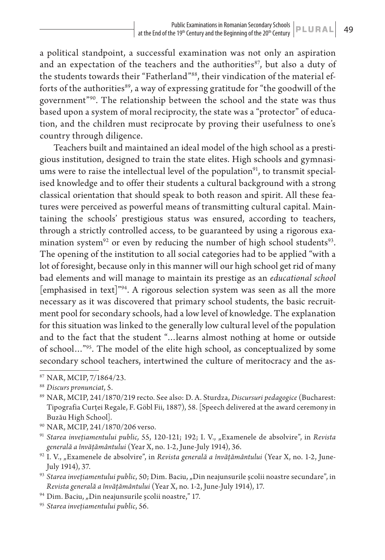a political standpoint, a successful examination was not only an aspiration and an expectation of the teachers and the authorities $87$ , but also a duty of the students towards their "Fatherland"<sup>88</sup>, their vindication of the material efforts of the authorities<sup>89</sup>, a way of expressing gratitude for "the goodwill of the government"90. The relationship between the school and the state was thus based upon a system of moral reciprocity, the state was a "protector" of education, and the children must reciprocate by proving their usefulness to one's country through diligence.

Teachers built and maintained an ideal model of the high school as a prestigious institution, designed to train the state elites. High schools and gymnasiums were to raise the intellectual level of the population $91$ , to transmit specialised knowledge and to offer their students a cultural background with a strong classical orientation that should speak to both reason and spirit. All these features were perceived as powerful means of transmitting cultural capital. Maintaining the schools' prestigious status was ensured, according to teachers, through a strictly controlled access, to be guaranteed by using a rigorous examination system<sup>92</sup> or even by reducing the number of high school students<sup>93</sup>. The opening of the institution to all social categories had to be applied "with a lot of foresight, because only in this manner will our high school get rid of many bad elements and will manage to maintain its prestige as an *educational school* [emphasised in text]"94. A rigorous selection system was seen as all the more necessary as it was discovered that primary school students, the basic recruitment pool for secondary schools, had a low level of knowledge. The explanation for this situation was linked to the generally low cultural level of the population and to the fact that the student "…learns almost nothing at home or outside of school…"95. The model of the elite high school, as conceptualized by some secondary school teachers, intertwined the culture of meritocracy and the as-

<sup>87</sup> NAR, MCIP, 7/1864/23.

<sup>88</sup> *Discurs pronunciat*, 5.

<sup>89</sup> NAR, MCIP, 241/1870/219 recto. See also: D. A. Sturdza, *Discursuri pedagogice* (Bucharest: Tipografia Curței Regale, F. Göbl Fii, 1887), 58. [Speech delivered at the award ceremony in Buzău High School].

<sup>90</sup> NAR, MCIP, 241/1870/206 verso.

<sup>&</sup>lt;sup>91</sup> Starea invețiamentului public, 55, 120-121; 192; I. V., "Examenele de absolvire", in *Revista generală a învățământului* (Year X, no. 1-2, June-July 1914), 36.

<sup>92</sup> I. V., "Examenele de absolvire", in *Revista generală a învățământului* (Year X, no. 1-2, June-July 1914), 37.

<sup>&</sup>lt;sup>93</sup> Starea invețiamentului public, 50; Dim. Baciu, "Din neajunsurile școlii noastre secundare", in *Revista generală a învățământului* (Year X, no. 1-2, June-July 1914), 17.

 $94$  Dim. Baciu, "Din neajunsurile școlii noastre," 17.

<sup>95</sup> *Starea invețiamentului public*, 56.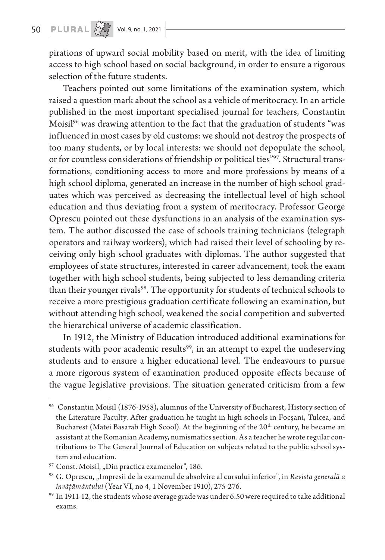# 50 **PLURAL**  $\left[\sum_{i=1}^{N} x_i^2\right]$  vol. 9, no. 1, 2021

pirations of upward social mobility based on merit, with the idea of limiting access to high school based on social background, in order to ensure a rigorous selection of the future students.

Teachers pointed out some limitations of the examination system, which raised a question mark about the school as a vehicle of meritocracy. In an article published in the most important specialised journal for teachers, Constantin Moisil<sup>96</sup> was drawing attention to the fact that the graduation of students "was influenced in most cases by old customs: we should not destroy the prospects of too many students, or by local interests: we should not depopulate the school, or for countless considerations of friendship or political ties"97. Structural transformations, conditioning access to more and more professions by means of a high school diploma, generated an increase in the number of high school graduates which was perceived as decreasing the intellectual level of high school education and thus deviating from a system of meritocracy. Professor George Oprescu pointed out these dysfunctions in an analysis of the examination system. The author discussed the case of schools training technicians (telegraph operators and railway workers), which had raised their level of schooling by receiving only high school graduates with diplomas. The author suggested that employees of state structures, interested in career advancement, took the exam together with high school students, being subjected to less demanding criteria than their younger rivals<sup>98</sup>. The opportunity for students of technical schools to receive a more prestigious graduation certificate following an examination, but without attending high school, weakened the social competition and subverted the hierarchical universe of academic classification.

In 1912, the Ministry of Education introduced additional examinations for students with poor academic results<sup>99</sup>, in an attempt to expel the undeserving students and to ensure a higher educational level. The endeavours to pursue a more rigorous system of examination produced opposite effects because of the vague legislative provisions. The situation generated criticism from a few

<sup>96</sup> Constantin Moisil (1876-1958), alumnus of the University of Bucharest, History section of the Literature Faculty. After graduation he taught in high schools in Focșani, Tulcea, and Bucharest (Matei Basarab High Scool). At the beginning of the  $20<sup>th</sup>$  century, he became an assistant at the Romanian Academy, numismatics section. As a teacher he wrote regular contributions to The General Journal of Education on subjects related to the public school system and education.

<sup>&</sup>lt;sup>97</sup> Const. Moisil, "Din practica examenelor", 186.

<sup>&</sup>lt;sup>98</sup> G. Oprescu, "Impresii de la examenul de absolvire al cursului inferior", in *Revista generală a învățământului* (Year VI, no 4, 1 November 1910), 275-276.

 $99$  In 1911-12, the students whose average grade was under 6.50 were required to take additional exams.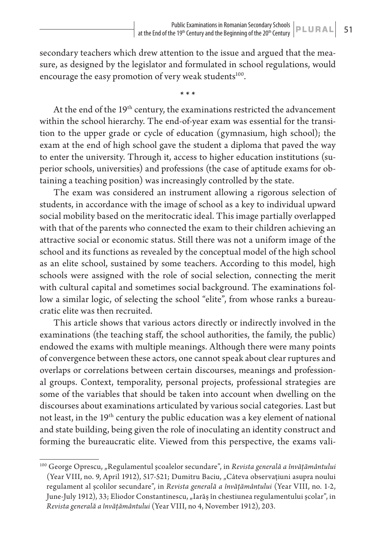secondary teachers which drew attention to the issue and argued that the measure, as designed by the legislator and formulated in school regulations, would encourage the easy promotion of very weak students<sup>100</sup>.

**\* \* \***

At the end of the 19<sup>th</sup> century, the examinations restricted the advancement within the school hierarchy. The end-of-year exam was essential for the transition to the upper grade or cycle of education (gymnasium, high school); the exam at the end of high school gave the student a diploma that paved the way to enter the university. Through it, access to higher education institutions (superior schools, universities) and professions (the case of aptitude exams for obtaining a teaching position) was increasingly controlled by the state.

The exam was considered an instrument allowing a rigorous selection of students, in accordance with the image of school as a key to individual upward social mobility based on the meritocratic ideal. This image partially overlapped with that of the parents who connected the exam to their children achieving an attractive social or economic status. Still there was not a uniform image of the school and its functions as revealed by the conceptual model of the high school as an elite school, sustained by some teachers. According to this model, high schools were assigned with the role of social selection, connecting the merit with cultural capital and sometimes social background. The examinations follow a similar logic, of selecting the school "elite", from whose ranks a bureaucratic elite was then recruited.

This article shows that various actors directly or indirectly involved in the examinations (the teaching staff, the school authorities, the family, the public) endowed the exams with multiple meanings. Although there were many points of convergence between these actors, one cannot speak about clear ruptures and overlaps or correlations between certain discourses, meanings and professional groups. Context, temporality, personal projects, professional strategies are some of the variables that should be taken into account when dwelling on the discourses about examinations articulated by various social categories. Last but not least, in the 19th century the public education was a key element of national and state building, being given the role of inoculating an identity construct and forming the bureaucratic elite. Viewed from this perspective, the exams vali-

<sup>&</sup>lt;sup>100</sup> George Oprescu, "Regulamentul școalelor secundare", in *Revista generală a învățământului* (Year VIII, no. 9, April 1912), 517-521; Dumitru Baciu, "Câteva observațiuni asupra noului regulament al școlilor secundare", in *Revista generală a învățământului* (Year VIII, no. 1-2, June-July 1912), 33; Eliodor Constantinescu, "Iarăș în chestiunea regulamentului școlar", in *Revista generală a învățământului* (Year VIII, no 4, November 1912), 203.